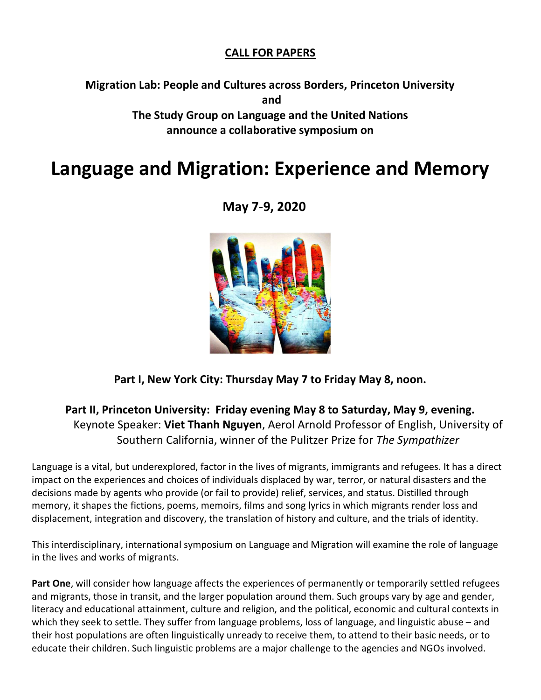## CALL FOR PAPERS

Migration Lab: People and Cultures across Borders, Princeton University and The Study Group on Language and the United Nations announce a collaborative symposium on

## Language and Migration: Experience and Memory

May 7-9, 2020



Part I, New York City: Thursday May 7 to Friday May 8, noon.

## Part II, Princeton University: Friday evening May 8 to Saturday, May 9, evening. Keynote Speaker: Viet Thanh Nguyen, Aerol Arnold Professor of English, University of Southern California, winner of the Pulitzer Prize for The Sympathizer

Language is a vital, but underexplored, factor in the lives of migrants, immigrants and refugees. It has a direct impact on the experiences and choices of individuals displaced by war, terror, or natural disasters and the decisions made by agents who provide (or fail to provide) relief, services, and status. Distilled through memory, it shapes the fictions, poems, memoirs, films and song lyrics in which migrants render loss and displacement, integration and discovery, the translation of history and culture, and the trials of identity.

This interdisciplinary, international symposium on Language and Migration will examine the role of language in the lives and works of migrants.

Part One, will consider how language affects the experiences of permanently or temporarily settled refugees and migrants, those in transit, and the larger population around them. Such groups vary by age and gender, literacy and educational attainment, culture and religion, and the political, economic and cultural contexts in which they seek to settle. They suffer from language problems, loss of language, and linguistic abuse – and their host populations are often linguistically unready to receive them, to attend to their basic needs, or to educate their children. Such linguistic problems are a major challenge to the agencies and NGOs involved.